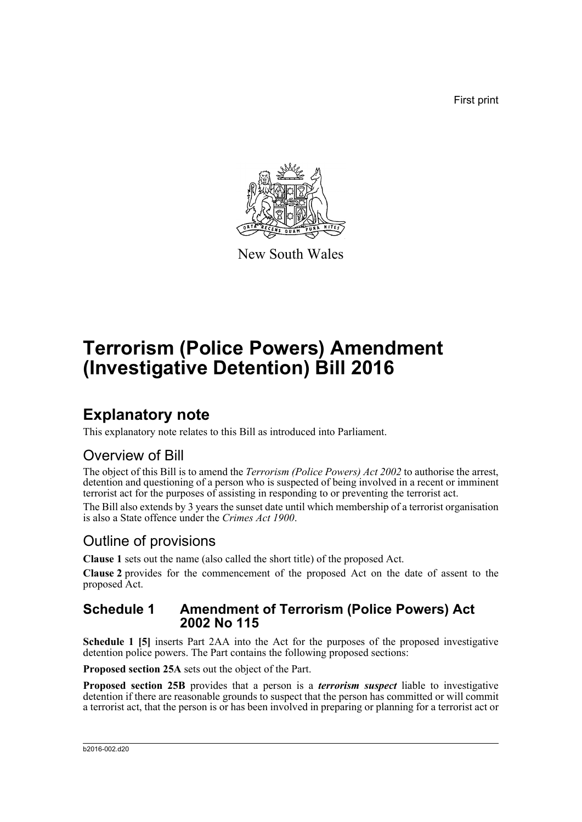First print



New South Wales

# **Terrorism (Police Powers) Amendment (Investigative Detention) Bill 2016**

## **Explanatory note**

This explanatory note relates to this Bill as introduced into Parliament.

## Overview of Bill

The object of this Bill is to amend the *Terrorism (Police Powers) Act 2002* to authorise the arrest, detention and questioning of a person who is suspected of being involved in a recent or imminent terrorist act for the purposes of assisting in responding to or preventing the terrorist act.

The Bill also extends by 3 years the sunset date until which membership of a terrorist organisation is also a State offence under the *Crimes Act 1900*.

## Outline of provisions

**Clause 1** sets out the name (also called the short title) of the proposed Act.

**Clause 2** provides for the commencement of the proposed Act on the date of assent to the proposed Act.

### **Schedule 1 Amendment of Terrorism (Police Powers) Act 2002 No 115**

**Schedule 1 [5]** inserts Part 2AA into the Act for the purposes of the proposed investigative detention police powers. The Part contains the following proposed sections:

**Proposed section 25A** sets out the object of the Part.

**Proposed section 25B** provides that a person is a *terrorism suspect* liable to investigative detention if there are reasonable grounds to suspect that the person has committed or will commit a terrorist act, that the person is or has been involved in preparing or planning for a terrorist act or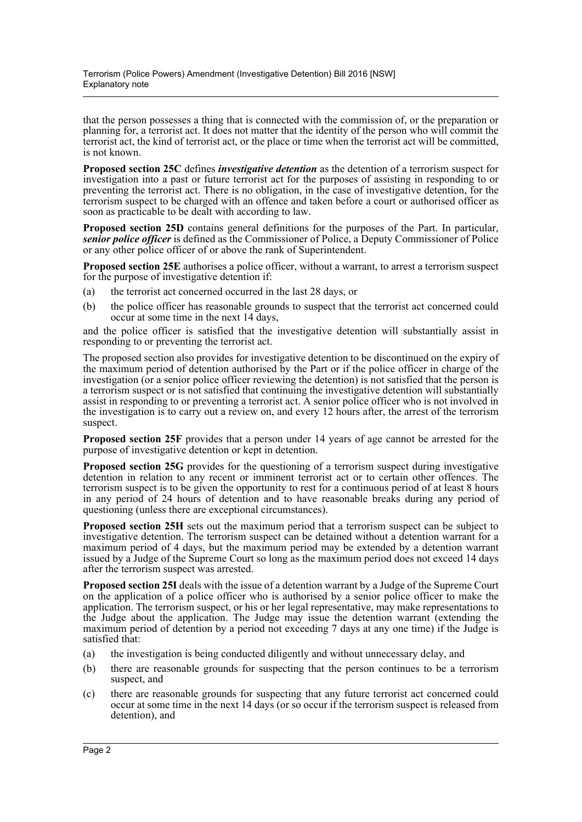that the person possesses a thing that is connected with the commission of, or the preparation or planning for, a terrorist act. It does not matter that the identity of the person who will commit the terrorist act, the kind of terrorist act, or the place or time when the terrorist act will be committed, is not known.

**Proposed section 25C** defines *investigative detention* as the detention of a terrorism suspect for investigation into a past or future terrorist act for the purposes of assisting in responding to or preventing the terrorist act. There is no obligation, in the case of investigative detention, for the terrorism suspect to be charged with an offence and taken before a court or authorised officer as soon as practicable to be dealt with according to law.

**Proposed section 25D** contains general definitions for the purposes of the Part. In particular, *senior police officer* is defined as the Commissioner of Police, a Deputy Commissioner of Police or any other police officer of or above the rank of Superintendent.

**Proposed section 25E** authorises a police officer, without a warrant, to arrest a terrorism suspect for the purpose of investigative detention if:

- (a) the terrorist act concerned occurred in the last 28 days, or
- (b) the police officer has reasonable grounds to suspect that the terrorist act concerned could occur at some time in the next 14 days,

and the police officer is satisfied that the investigative detention will substantially assist in responding to or preventing the terrorist act.

The proposed section also provides for investigative detention to be discontinued on the expiry of the maximum period of detention authorised by the Part or if the police officer in charge of the investigation (or a senior police officer reviewing the detention) is not satisfied that the person is a terrorism suspect or is not satisfied that continuing the investigative detention will substantially assist in responding to or preventing a terrorist act. A senior police officer who is not involved in the investigation is to carry out a review on, and every 12 hours after, the arrest of the terrorism suspect.

**Proposed section 25F** provides that a person under 14 years of age cannot be arrested for the purpose of investigative detention or kept in detention.

**Proposed section 25G** provides for the questioning of a terrorism suspect during investigative detention in relation to any recent or imminent terrorist act or to certain other offences. The terrorism suspect is to be given the opportunity to rest for a continuous period of at least 8 hours in any period of 24 hours of detention and to have reasonable breaks during any period of questioning (unless there are exceptional circumstances).

**Proposed section 25H** sets out the maximum period that a terrorism suspect can be subject to investigative detention. The terrorism suspect can be detained without a detention warrant for a maximum period of 4 days, but the maximum period may be extended by a detention warrant issued by a Judge of the Supreme Court so long as the maximum period does not exceed 14 days after the terrorism suspect was arrested.

**Proposed section 25I** deals with the issue of a detention warrant by a Judge of the Supreme Court on the application of a police officer who is authorised by a senior police officer to make the application. The terrorism suspect, or his or her legal representative, may make representations to the Judge about the application. The Judge may issue the detention warrant (extending the maximum period of detention by a period not exceeding 7 days at any one time) if the Judge is satisfied that:

- (a) the investigation is being conducted diligently and without unnecessary delay, and
- (b) there are reasonable grounds for suspecting that the person continues to be a terrorism suspect, and
- (c) there are reasonable grounds for suspecting that any future terrorist act concerned could occur at some time in the next 14 days (or so occur if the terrorism suspect is released from detention), and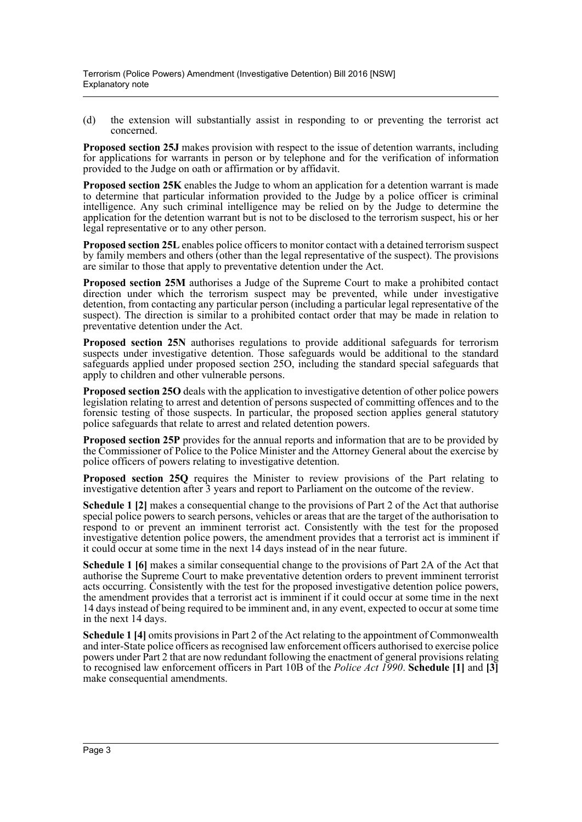(d) the extension will substantially assist in responding to or preventing the terrorist act concerned.

**Proposed section 25J** makes provision with respect to the issue of detention warrants, including for applications for warrants in person or by telephone and for the verification of information provided to the Judge on oath or affirmation or by affidavit.

**Proposed section 25K** enables the Judge to whom an application for a detention warrant is made to determine that particular information provided to the Judge by a police officer is criminal intelligence. Any such criminal intelligence may be relied on by the Judge to determine the application for the detention warrant but is not to be disclosed to the terrorism suspect, his or her legal representative or to any other person.

**Proposed section 25L** enables police officers to monitor contact with a detained terrorism suspect by family members and others (other than the legal representative of the suspect). The provisions are similar to those that apply to preventative detention under the Act.

**Proposed section 25M** authorises a Judge of the Supreme Court to make a prohibited contact direction under which the terrorism suspect may be prevented, while under investigative detention, from contacting any particular person (including a particular legal representative of the suspect). The direction is similar to a prohibited contact order that may be made in relation to preventative detention under the Act.

**Proposed section 25N** authorises regulations to provide additional safeguards for terrorism suspects under investigative detention. Those safeguards would be additional to the standard safeguards applied under proposed section 25O, including the standard special safeguards that apply to children and other vulnerable persons.

**Proposed section 25O** deals with the application to investigative detention of other police powers legislation relating to arrest and detention of persons suspected of committing offences and to the forensic testing of those suspects. In particular, the proposed section applies general statutory police safeguards that relate to arrest and related detention powers.

**Proposed section 25P** provides for the annual reports and information that are to be provided by the Commissioner of Police to the Police Minister and the Attorney General about the exercise by police officers of powers relating to investigative detention.

**Proposed section 25Q** requires the Minister to review provisions of the Part relating to investigative detention after 3 years and report to Parliament on the outcome of the review.

**Schedule 1 [2]** makes a consequential change to the provisions of Part 2 of the Act that authorise special police powers to search persons, vehicles or areas that are the target of the authorisation to respond to or prevent an imminent terrorist act. Consistently with the test for the proposed investigative detention police powers, the amendment provides that a terrorist act is imminent if it could occur at some time in the next 14 days instead of in the near future.

**Schedule 1 [6]** makes a similar consequential change to the provisions of Part 2A of the Act that authorise the Supreme Court to make preventative detention orders to prevent imminent terrorist acts occurring. Consistently with the test for the proposed investigative detention police powers, the amendment provides that a terrorist act is imminent if it could occur at some time in the next 14 days instead of being required to be imminent and, in any event, expected to occur at some time in the next 14 days.

**Schedule 1 [4]** omits provisions in Part 2 of the Act relating to the appointment of Commonwealth and inter-State police officers as recognised law enforcement officers authorised to exercise police powers under Part 2 that are now redundant following the enactment of general provisions relating to recognised law enforcement officers in Part 10B of the *Police Act 1990*. **Schedule [1]** and **[3]** make consequential amendments.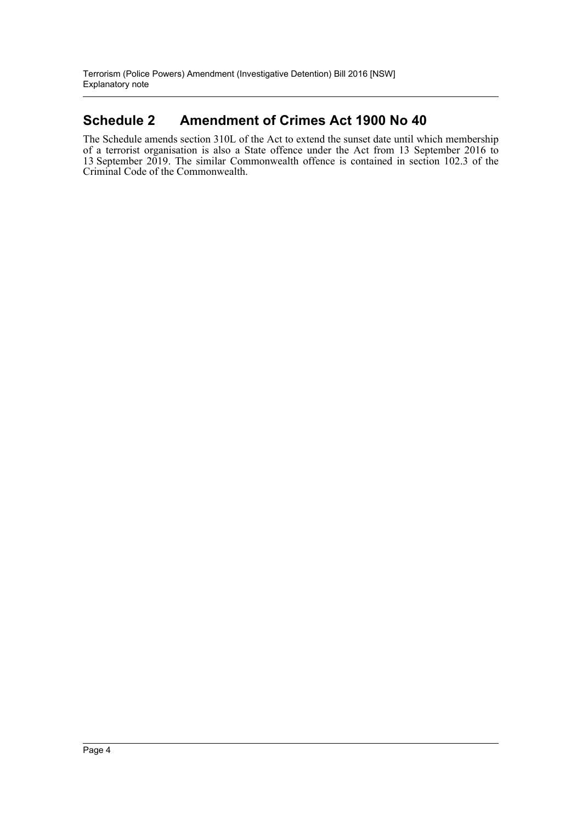### **Schedule 2 Amendment of Crimes Act 1900 No 40**

The Schedule amends section 310L of the Act to extend the sunset date until which membership of a terrorist organisation is also a State offence under the Act from 13 September 2016 to 13 September 2019. The similar Commonwealth offence is contained in section 102.3 of the Criminal Code of the Commonwealth.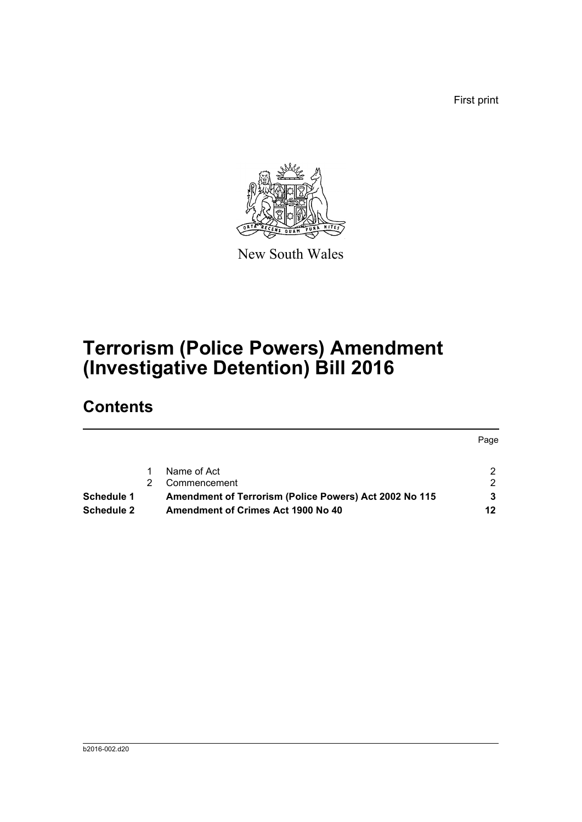First print



New South Wales

# **Terrorism (Police Powers) Amendment (Investigative Detention) Bill 2016**

## **Contents**

|            |                                                        | Page |
|------------|--------------------------------------------------------|------|
|            | Name of Act                                            |      |
|            | Commencement                                           | ົ    |
| Schedule 1 | Amendment of Terrorism (Police Powers) Act 2002 No 115 |      |
| Schedule 2 | Amendment of Crimes Act 1900 No 40                     | 12   |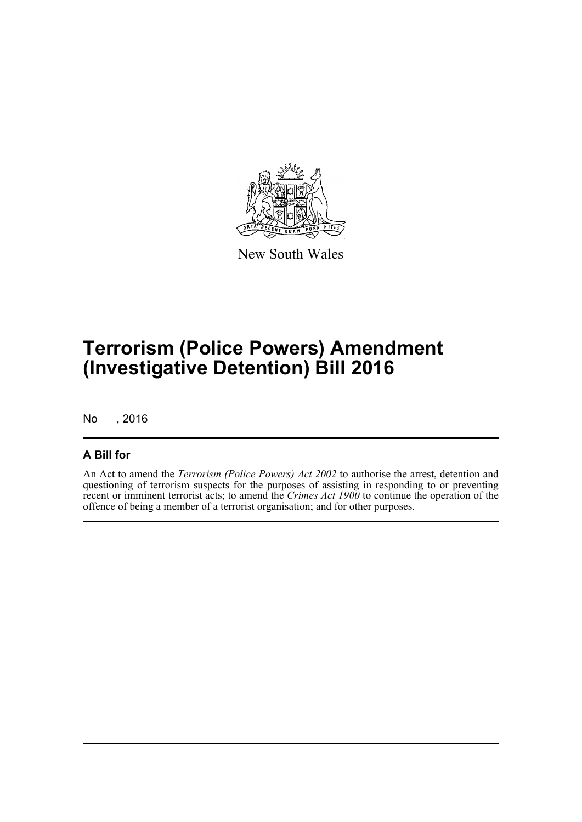

New South Wales

# **Terrorism (Police Powers) Amendment (Investigative Detention) Bill 2016**

No , 2016

### **A Bill for**

An Act to amend the *Terrorism (Police Powers) Act 2002* to authorise the arrest, detention and questioning of terrorism suspects for the purposes of assisting in responding to or preventing recent or imminent terrorist acts; to amend the *Crimes Act 1900* to continue the operation of the offence of being a member of a terrorist organisation; and for other purposes.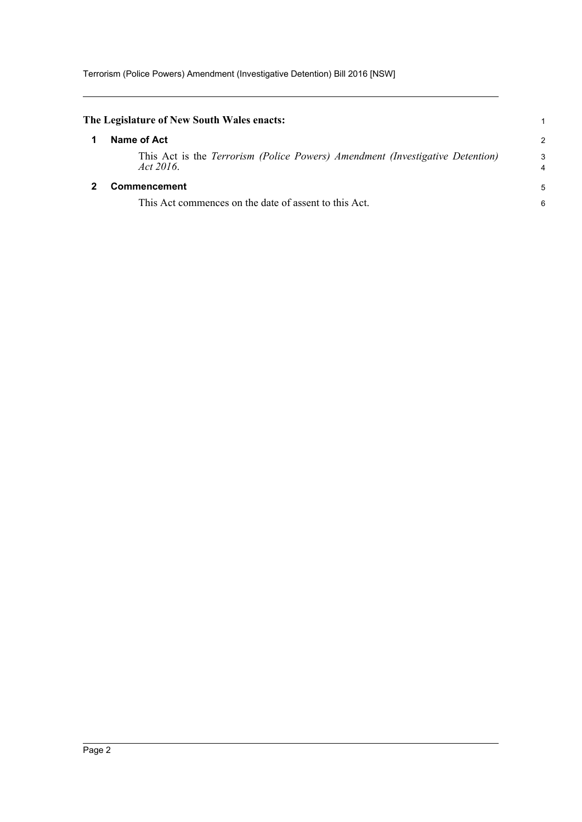<span id="page-6-1"></span><span id="page-6-0"></span>

| The Legislature of New South Wales enacts:                                                    | 1             |
|-----------------------------------------------------------------------------------------------|---------------|
| Name of Act                                                                                   | $\mathcal{P}$ |
| This Act is the Terrorism (Police Powers) Amendment (Investigative Detention)<br>Act $2016$ . | 3             |
| <b>Commencement</b>                                                                           | 5             |
| This Act commences on the date of assent to this Act.                                         | 6             |
|                                                                                               |               |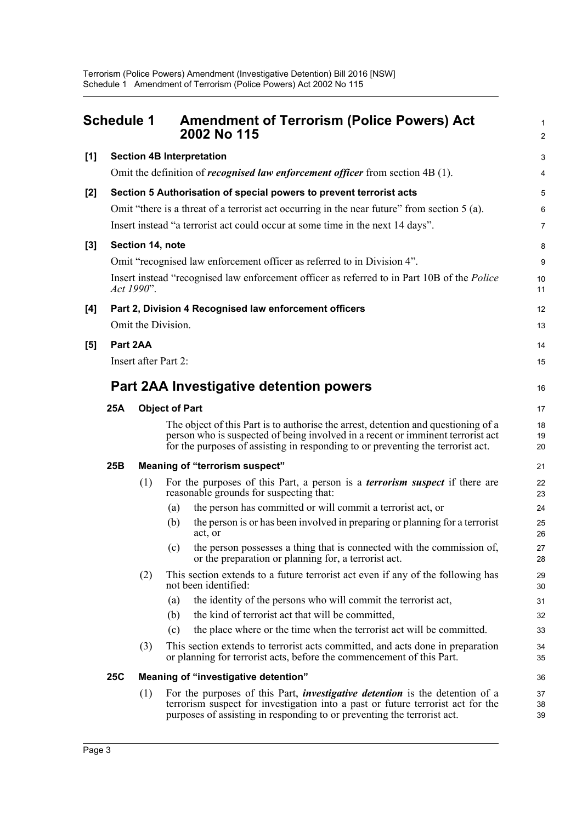<span id="page-7-0"></span>

| <b>Schedule 1</b> |                                                                                                                  |                  | <b>Amendment of Terrorism (Police Powers) Act</b><br>2002 No 115 | $\mathbf{1}$<br>$\overline{2}$                                                                                                                                                                                                                           |                  |  |
|-------------------|------------------------------------------------------------------------------------------------------------------|------------------|------------------------------------------------------------------|----------------------------------------------------------------------------------------------------------------------------------------------------------------------------------------------------------------------------------------------------------|------------------|--|
| [1]               |                                                                                                                  |                  |                                                                  | <b>Section 4B Interpretation</b>                                                                                                                                                                                                                         | 3                |  |
|                   |                                                                                                                  |                  |                                                                  | Omit the definition of <i>recognised law enforcement officer</i> from section 4B (1).                                                                                                                                                                    | 4                |  |
| [2]               |                                                                                                                  |                  |                                                                  | Section 5 Authorisation of special powers to prevent terrorist acts                                                                                                                                                                                      | 5                |  |
|                   | Omit "there is a threat of a terrorist act occurring in the near future" from section 5 (a).                     |                  |                                                                  |                                                                                                                                                                                                                                                          |                  |  |
|                   | Insert instead "a terrorist act could occur at some time in the next 14 days".                                   |                  |                                                                  |                                                                                                                                                                                                                                                          |                  |  |
| $[3]$             |                                                                                                                  | Section 14, note |                                                                  |                                                                                                                                                                                                                                                          | 8                |  |
|                   |                                                                                                                  |                  |                                                                  | Omit "recognised law enforcement officer as referred to in Division 4".                                                                                                                                                                                  | $\boldsymbol{9}$ |  |
|                   | Insert instead "recognised law enforcement officer as referred to in Part 10B of the <i>Police</i><br>Act 1990". |                  |                                                                  |                                                                                                                                                                                                                                                          |                  |  |
| [4]               |                                                                                                                  |                  |                                                                  | Part 2, Division 4 Recognised law enforcement officers                                                                                                                                                                                                   | 12               |  |
|                   |                                                                                                                  |                  | Omit the Division.                                               |                                                                                                                                                                                                                                                          | 13               |  |
| [5]               | Part 2AA                                                                                                         |                  |                                                                  |                                                                                                                                                                                                                                                          | 14               |  |
|                   |                                                                                                                  |                  | Insert after Part 2:                                             |                                                                                                                                                                                                                                                          | 15               |  |
|                   |                                                                                                                  |                  |                                                                  | Part 2AA Investigative detention powers                                                                                                                                                                                                                  | 16               |  |
|                   | <b>25A</b><br><b>Object of Part</b>                                                                              |                  |                                                                  |                                                                                                                                                                                                                                                          | 17               |  |
|                   |                                                                                                                  |                  |                                                                  | The object of this Part is to authorise the arrest, detention and questioning of a<br>person who is suspected of being involved in a recent or imminent terrorist act<br>for the purposes of assisting in responding to or preventing the terrorist act. | 18<br>19<br>20   |  |
|                   | 25B                                                                                                              |                  |                                                                  | <b>Meaning of "terrorism suspect"</b>                                                                                                                                                                                                                    | 21               |  |
|                   |                                                                                                                  | (1)              |                                                                  | For the purposes of this Part, a person is a <i>terrorism suspect</i> if there are<br>reasonable grounds for suspecting that:                                                                                                                            | 22<br>23         |  |
|                   |                                                                                                                  |                  | (a)                                                              | the person has committed or will commit a terrorist act, or                                                                                                                                                                                              | 24               |  |
|                   |                                                                                                                  |                  | (b)                                                              | the person is or has been involved in preparing or planning for a terrorist<br>act, or                                                                                                                                                                   | 25<br>26         |  |
|                   |                                                                                                                  |                  |                                                                  | (c) the person possesses a thing that is connected with the commission of,<br>or the preparation or planning for, a terrorist act.                                                                                                                       | 27<br>28         |  |
|                   |                                                                                                                  | (2)              |                                                                  | This section extends to a future terrorist act even if any of the following has<br>not been identified:                                                                                                                                                  | 29<br>30         |  |
|                   |                                                                                                                  |                  | (a)                                                              | the identity of the persons who will commit the terrorist act,                                                                                                                                                                                           | 31               |  |
|                   |                                                                                                                  |                  | (b)                                                              | the kind of terrorist act that will be committed,                                                                                                                                                                                                        | 32               |  |
|                   |                                                                                                                  |                  | (c)                                                              | the place where or the time when the terrorist act will be committed.                                                                                                                                                                                    | 33               |  |
|                   |                                                                                                                  | (3)              |                                                                  | This section extends to terrorist acts committed, and acts done in preparation<br>or planning for terrorist acts, before the commencement of this Part.                                                                                                  | 34<br>35         |  |
|                   | <b>25C</b>                                                                                                       |                  |                                                                  | Meaning of "investigative detention"                                                                                                                                                                                                                     | 36               |  |
|                   |                                                                                                                  | (1)              |                                                                  | For the purposes of this Part, <i>investigative detention</i> is the detention of a<br>terrorism suspect for investigation into a past or future terrorist act for the<br>purposes of assisting in responding to or preventing the terrorist act.        | 37<br>38<br>39   |  |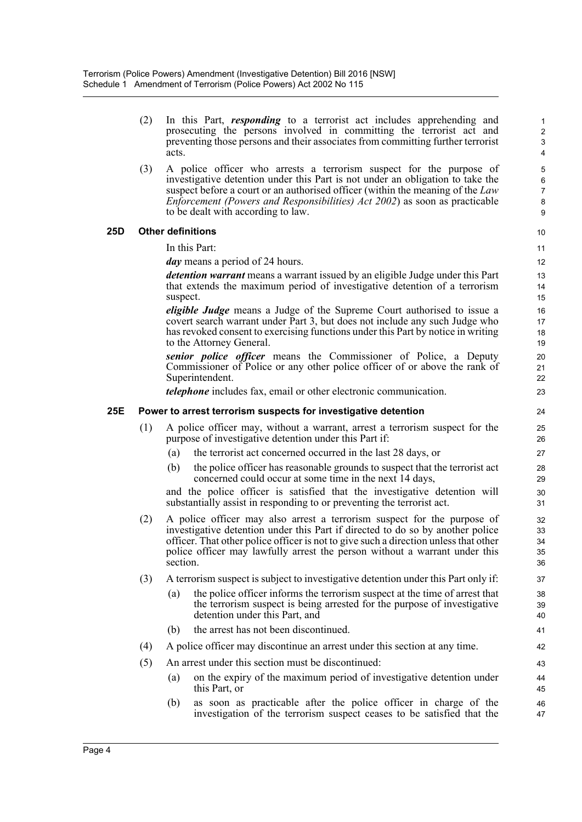|     |     | prosecuting the persons involved in committing the terrorist act and<br>preventing those persons and their associates from committing further terrorist<br>acts.                                                                                                                                                                                                   | $\overline{\mathbf{c}}$<br>3<br>4 |  |  |  |
|-----|-----|--------------------------------------------------------------------------------------------------------------------------------------------------------------------------------------------------------------------------------------------------------------------------------------------------------------------------------------------------------------------|-----------------------------------|--|--|--|
|     | (3) | A police officer who arrests a terrorism suspect for the purpose of<br>investigative detention under this Part is not under an obligation to take the<br>suspect before a court or an authorised officer (within the meaning of the Law<br><i>Enforcement (Powers and Responsibilities) Act 2002)</i> as soon as practicable<br>to be dealt with according to law. | 5<br>6<br>7<br>8<br>9             |  |  |  |
| 25D |     | <b>Other definitions</b>                                                                                                                                                                                                                                                                                                                                           | 10                                |  |  |  |
|     |     | In this Part:                                                                                                                                                                                                                                                                                                                                                      | 11                                |  |  |  |
|     |     | <i>day</i> means a period of 24 hours.                                                                                                                                                                                                                                                                                                                             | 12                                |  |  |  |
|     |     | <i>detention warrant</i> means a warrant issued by an eligible Judge under this Part<br>that extends the maximum period of investigative detention of a terrorism<br>suspect.                                                                                                                                                                                      | 13<br>14<br>15                    |  |  |  |
|     |     | eligible Judge means a Judge of the Supreme Court authorised to issue a<br>covert search warrant under Part 3, but does not include any such Judge who<br>has revoked consent to exercising functions under this Part by notice in writing<br>to the Attorney General.                                                                                             | 16<br>17<br>18<br>19              |  |  |  |
|     |     | senior police officer means the Commissioner of Police, a Deputy<br>Commissioner of Police or any other police officer of or above the rank of<br>Superintendent.                                                                                                                                                                                                  | 20<br>21<br>22                    |  |  |  |
|     |     | <i>telephone</i> includes fax, email or other electronic communication.                                                                                                                                                                                                                                                                                            | 23                                |  |  |  |
| 25E |     | Power to arrest terrorism suspects for investigative detention                                                                                                                                                                                                                                                                                                     |                                   |  |  |  |
|     | (1) | A police officer may, without a warrant, arrest a terrorism suspect for the<br>purpose of investigative detention under this Part if:                                                                                                                                                                                                                              | 25<br>26                          |  |  |  |
|     |     | (a)<br>the terrorist act concerned occurred in the last 28 days, or                                                                                                                                                                                                                                                                                                | 27                                |  |  |  |
|     |     | (b)<br>the police officer has reasonable grounds to suspect that the terrorist act<br>concerned could occur at some time in the next 14 days,                                                                                                                                                                                                                      | 28<br>29                          |  |  |  |
|     |     | and the police officer is satisfied that the investigative detention will<br>substantially assist in responding to or preventing the terrorist act.                                                                                                                                                                                                                | 30<br>31                          |  |  |  |
|     | (2) | A police officer may also arrest a terrorism suspect for the purpose of<br>investigative detention under this Part if directed to do so by another police<br>officer. That other police officer is not to give such a direction unless that other<br>police officer may lawfully arrest the person without a warrant under this<br>section                         | 32<br>33<br>34<br>35<br>36        |  |  |  |
|     | (3) | A terrorism suspect is subject to investigative detention under this Part only if:                                                                                                                                                                                                                                                                                 | 37                                |  |  |  |
|     |     | the police officer informs the terrorism suspect at the time of arrest that<br>(a)<br>the terrorism suspect is being arrested for the purpose of investigative<br>detention under this Part, and                                                                                                                                                                   | 38<br>39<br>40                    |  |  |  |
|     |     | the arrest has not been discontinued.<br>(b)                                                                                                                                                                                                                                                                                                                       | 41                                |  |  |  |
|     | (4) | A police officer may discontinue an arrest under this section at any time.                                                                                                                                                                                                                                                                                         | 42                                |  |  |  |
|     | (5) | An arrest under this section must be discontinued:                                                                                                                                                                                                                                                                                                                 | 43                                |  |  |  |
|     |     | on the expiry of the maximum period of investigative detention under<br>(a)<br>this Part, or                                                                                                                                                                                                                                                                       | 44<br>45                          |  |  |  |
|     |     | as soon as practicable after the police officer in charge of the<br>(b)<br>investigation of the terrorism suspect ceases to be satisfied that the                                                                                                                                                                                                                  | 46<br>47                          |  |  |  |

(2) In this Part, *responding* to a terrorist act includes apprehending and

1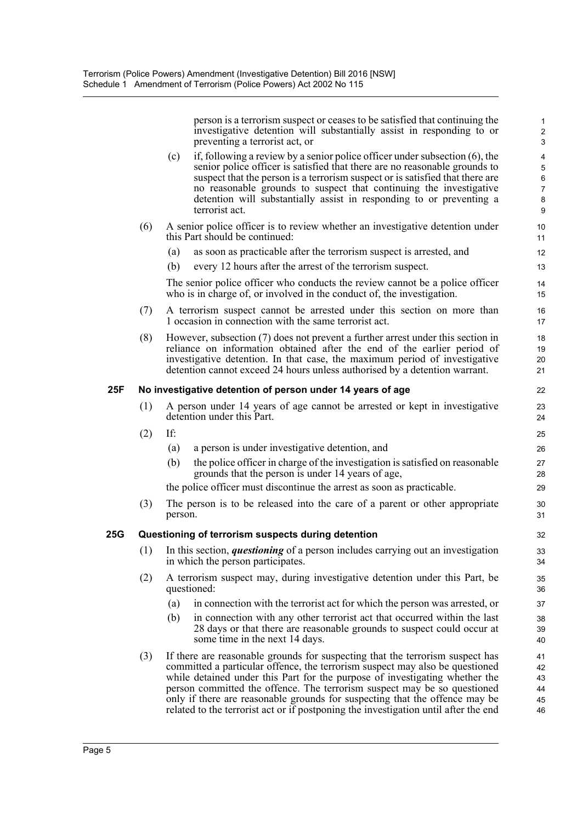|     |     | person is a terrorism suspect or ceases to be satisfied that continuing the<br>investigative detention will substantially assist in responding to or<br>preventing a terrorist act, or                                                                                                                                                                                                                                                                                                         | $\mathbf{1}$<br>$\boldsymbol{2}$<br>3                                   |
|-----|-----|------------------------------------------------------------------------------------------------------------------------------------------------------------------------------------------------------------------------------------------------------------------------------------------------------------------------------------------------------------------------------------------------------------------------------------------------------------------------------------------------|-------------------------------------------------------------------------|
|     |     | if, following a review by a senior police officer under subsection (6), the<br>(c)<br>senior police officer is satisfied that there are no reasonable grounds to<br>suspect that the person is a terrorism suspect or is satisfied that there are<br>no reasonable grounds to suspect that continuing the investigative<br>detention will substantially assist in responding to or preventing a                                                                                                | $\overline{\mathbf{4}}$<br>$\sqrt{5}$<br>$\,6\,$<br>$\overline{7}$<br>8 |
|     |     | terrorist act.                                                                                                                                                                                                                                                                                                                                                                                                                                                                                 | 9                                                                       |
|     | (6) | A senior police officer is to review whether an investigative detention under<br>this Part should be continued:                                                                                                                                                                                                                                                                                                                                                                                | 10<br>11                                                                |
|     |     | as soon as practicable after the terrorism suspect is arrested, and<br>(a)                                                                                                                                                                                                                                                                                                                                                                                                                     | 12                                                                      |
|     |     | (b)<br>every 12 hours after the arrest of the terrorism suspect.                                                                                                                                                                                                                                                                                                                                                                                                                               | 13                                                                      |
|     |     | The senior police officer who conducts the review cannot be a police officer<br>who is in charge of, or involved in the conduct of, the investigation.                                                                                                                                                                                                                                                                                                                                         | 14<br>15                                                                |
|     | (7) | A terrorism suspect cannot be arrested under this section on more than<br>1 occasion in connection with the same terrorist act.                                                                                                                                                                                                                                                                                                                                                                | 16<br>17                                                                |
|     | (8) | However, subsection (7) does not prevent a further arrest under this section in                                                                                                                                                                                                                                                                                                                                                                                                                | 18                                                                      |
|     |     | reliance on information obtained after the end of the earlier period of<br>investigative detention. In that case, the maximum period of investigative                                                                                                                                                                                                                                                                                                                                          | 19<br>20                                                                |
|     |     | detention cannot exceed 24 hours unless authorised by a detention warrant.                                                                                                                                                                                                                                                                                                                                                                                                                     | 21                                                                      |
| 25F |     | No investigative detention of person under 14 years of age                                                                                                                                                                                                                                                                                                                                                                                                                                     | 22                                                                      |
|     | (1) | A person under 14 years of age cannot be arrested or kept in investigative<br>detention under this Part.                                                                                                                                                                                                                                                                                                                                                                                       | 23<br>24                                                                |
|     | (2) | If:                                                                                                                                                                                                                                                                                                                                                                                                                                                                                            | 25                                                                      |
|     |     | a person is under investigative detention, and<br>(a)                                                                                                                                                                                                                                                                                                                                                                                                                                          | 26                                                                      |
|     |     | the police officer in charge of the investigation is satisfied on reasonable<br>(b)<br>grounds that the person is under 14 years of age,                                                                                                                                                                                                                                                                                                                                                       | 27<br>28                                                                |
|     |     | the police officer must discontinue the arrest as soon as practicable.                                                                                                                                                                                                                                                                                                                                                                                                                         | 29                                                                      |
|     | (3) | The person is to be released into the care of a parent or other appropriate<br>person.                                                                                                                                                                                                                                                                                                                                                                                                         | 30<br>31                                                                |
| 25G |     | Questioning of terrorism suspects during detention                                                                                                                                                                                                                                                                                                                                                                                                                                             | 32                                                                      |
|     | (1) | In this section, <i>questioning</i> of a person includes carrying out an investigation<br>in which the person participates.                                                                                                                                                                                                                                                                                                                                                                    |                                                                         |
|     | (2) | A terrorism suspect may, during investigative detention under this Part, be<br>questioned:                                                                                                                                                                                                                                                                                                                                                                                                     | 35<br>36                                                                |
|     |     | (a)<br>in connection with the terrorist act for which the person was arrested, or                                                                                                                                                                                                                                                                                                                                                                                                              | 37                                                                      |
|     |     | (b)<br>in connection with any other terrorist act that occurred within the last<br>28 days or that there are reasonable grounds to suspect could occur at<br>some time in the next 14 days.                                                                                                                                                                                                                                                                                                    | 38<br>39<br>40                                                          |
|     | (3) | If there are reasonable grounds for suspecting that the terrorism suspect has<br>committed a particular offence, the terrorism suspect may also be questioned<br>while detained under this Part for the purpose of investigating whether the<br>person committed the offence. The terrorism suspect may be so questioned<br>only if there are reasonable grounds for suspecting that the offence may be<br>related to the terrorist act or if postponing the investigation until after the end | 41<br>42<br>43<br>44<br>45<br>46                                        |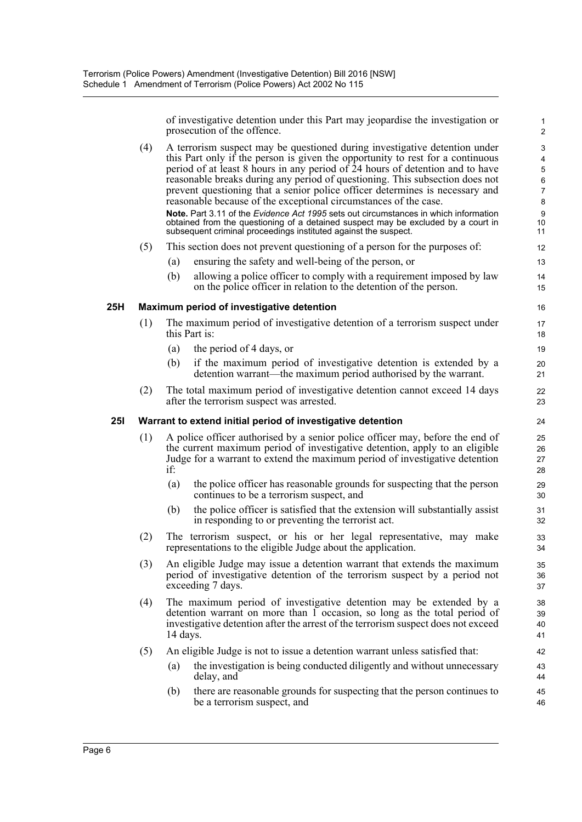of investigative detention under this Part may jeopardise the investigation or prosecution of the offence.

- (4) A terrorism suspect may be questioned during investigative detention under this Part only if the person is given the opportunity to rest for a continuous period of at least 8 hours in any period of 24 hours of detention and to have reasonable breaks during any period of questioning. This subsection does not prevent questioning that a senior police officer determines is necessary and reasonable because of the exceptional circumstances of the case. **Note.** Part 3.11 of the *Evidence Act 1995* sets out circumstances in which information obtained from the questioning of a detained suspect may be excluded by a court in subsequent criminal proceedings instituted against the suspect.
- (5) This section does not prevent questioning of a person for the purposes of:
	- (a) ensuring the safety and well-being of the person, or
	- (b) allowing a police officer to comply with a requirement imposed by law on the police officer in relation to the detention of the person.

#### **25H Maximum period of investigative detention**

- (1) The maximum period of investigative detention of a terrorism suspect under this Part is:
	- (a) the period of 4 days, or
	- (b) if the maximum period of investigative detention is extended by a detention warrant—the maximum period authorised by the warrant.
- (2) The total maximum period of investigative detention cannot exceed 14 days after the terrorism suspect was arrested.

#### **25I Warrant to extend initial period of investigative detention**

- (1) A police officer authorised by a senior police officer may, before the end of the current maximum period of investigative detention, apply to an eligible Judge for a warrant to extend the maximum period of investigative detention if:
	- (a) the police officer has reasonable grounds for suspecting that the person continues to be a terrorism suspect, and
	- (b) the police officer is satisfied that the extension will substantially assist in responding to or preventing the terrorist act.
- (2) The terrorism suspect, or his or her legal representative, may make representations to the eligible Judge about the application.
- (3) An eligible Judge may issue a detention warrant that extends the maximum period of investigative detention of the terrorism suspect by a period not exceeding 7 days.
- (4) The maximum period of investigative detention may be extended by a detention warrant on more than 1 occasion, so long as the total period of investigative detention after the arrest of the terrorism suspect does not exceed 14 days.
- (5) An eligible Judge is not to issue a detention warrant unless satisfied that:
	- (a) the investigation is being conducted diligently and without unnecessary delay, and
	- (b) there are reasonable grounds for suspecting that the person continues to be a terrorism suspect, and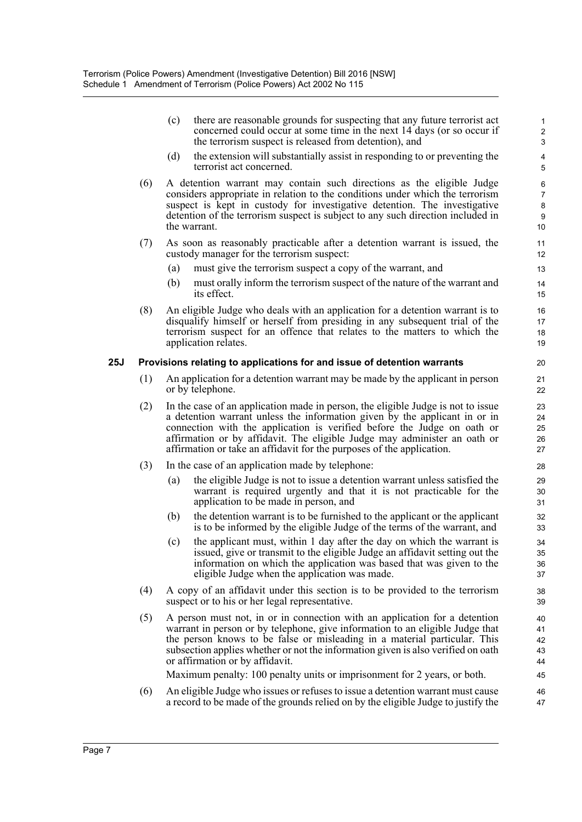(c) there are reasonable grounds for suspecting that any future terrorist act concerned could occur at some time in the next 14 days (or so occur if the terrorism suspect is released from detention), and

- (d) the extension will substantially assist in responding to or preventing the terrorist act concerned.
- (6) A detention warrant may contain such directions as the eligible Judge considers appropriate in relation to the conditions under which the terrorism suspect is kept in custody for investigative detention. The investigative detention of the terrorism suspect is subject to any such direction included in the warrant.
- (7) As soon as reasonably practicable after a detention warrant is issued, the custody manager for the terrorism suspect:
	- (a) must give the terrorism suspect a copy of the warrant, and
	- (b) must orally inform the terrorism suspect of the nature of the warrant and its effect.
- (8) An eligible Judge who deals with an application for a detention warrant is to disqualify himself or herself from presiding in any subsequent trial of the terrorism suspect for an offence that relates to the matters to which the application relates.

#### **25J Provisions relating to applications for and issue of detention warrants**

- (1) An application for a detention warrant may be made by the applicant in person or by telephone.
- (2) In the case of an application made in person, the eligible Judge is not to issue a detention warrant unless the information given by the applicant in or in connection with the application is verified before the Judge on oath or affirmation or by affidavit. The eligible Judge may administer an oath or affirmation or take an affidavit for the purposes of the application.
- (3) In the case of an application made by telephone:
	- (a) the eligible Judge is not to issue a detention warrant unless satisfied the warrant is required urgently and that it is not practicable for the application to be made in person, and
	- (b) the detention warrant is to be furnished to the applicant or the applicant is to be informed by the eligible Judge of the terms of the warrant, and
	- (c) the applicant must, within 1 day after the day on which the warrant is issued, give or transmit to the eligible Judge an affidavit setting out the information on which the application was based that was given to the eligible Judge when the application was made.
- (4) A copy of an affidavit under this section is to be provided to the terrorism suspect or to his or her legal representative.
- (5) A person must not, in or in connection with an application for a detention warrant in person or by telephone, give information to an eligible Judge that the person knows to be false or misleading in a material particular. This subsection applies whether or not the information given is also verified on oath or affirmation or by affidavit.

Maximum penalty: 100 penalty units or imprisonment for 2 years, or both.

(6) An eligible Judge who issues or refuses to issue a detention warrant must cause a record to be made of the grounds relied on by the eligible Judge to justify the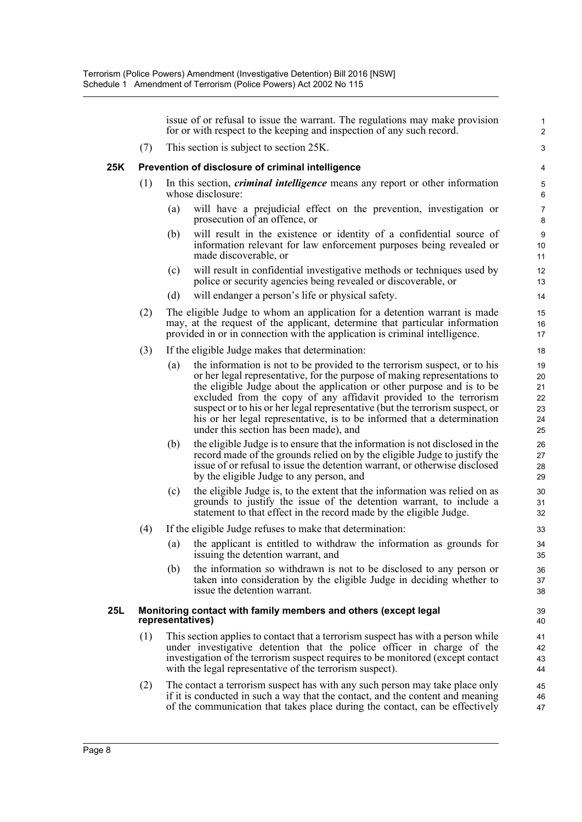issue of or refusal to issue the warrant. The regulations may make provision for or with respect to the keeping and inspection of any such record.

(7) This section is subject to section 25K.

#### **25K Prevention of disclosure of criminal intelligence**

- (1) In this section, *criminal intelligence* means any report or other information whose disclosure:
	- (a) will have a prejudicial effect on the prevention, investigation or prosecution of an offence, or
	- (b) will result in the existence or identity of a confidential source of information relevant for law enforcement purposes being revealed or made discoverable, or
	- (c) will result in confidential investigative methods or techniques used by police or security agencies being revealed or discoverable, or
	- (d) will endanger a person's life or physical safety.
- (2) The eligible Judge to whom an application for a detention warrant is made may, at the request of the applicant, determine that particular information provided in or in connection with the application is criminal intelligence.
- (3) If the eligible Judge makes that determination:
	- (a) the information is not to be provided to the terrorism suspect, or to his or her legal representative, for the purpose of making representations to the eligible Judge about the application or other purpose and is to be excluded from the copy of any affidavit provided to the terrorism suspect or to his or her legal representative (but the terrorism suspect, or his or her legal representative, is to be informed that a determination under this section has been made), and
	- (b) the eligible Judge is to ensure that the information is not disclosed in the record made of the grounds relied on by the eligible Judge to justify the issue of or refusal to issue the detention warrant, or otherwise disclosed by the eligible Judge to any person, and
	- (c) the eligible Judge is, to the extent that the information was relied on as grounds to justify the issue of the detention warrant, to include a statement to that effect in the record made by the eligible Judge.
- (4) If the eligible Judge refuses to make that determination:
	- (a) the applicant is entitled to withdraw the information as grounds for issuing the detention warrant, and
	- (b) the information so withdrawn is not to be disclosed to any person or taken into consideration by the eligible Judge in deciding whether to issue the detention warrant.

#### **25L Monitoring contact with family members and others (except legal representatives)**

- (1) This section applies to contact that a terrorism suspect has with a person while under investigative detention that the police officer in charge of the investigation of the terrorism suspect requires to be monitored (except contact with the legal representative of the terrorism suspect).
- (2) The contact a terrorism suspect has with any such person may take place only if it is conducted in such a way that the contact, and the content and meaning of the communication that takes place during the contact, can be effectively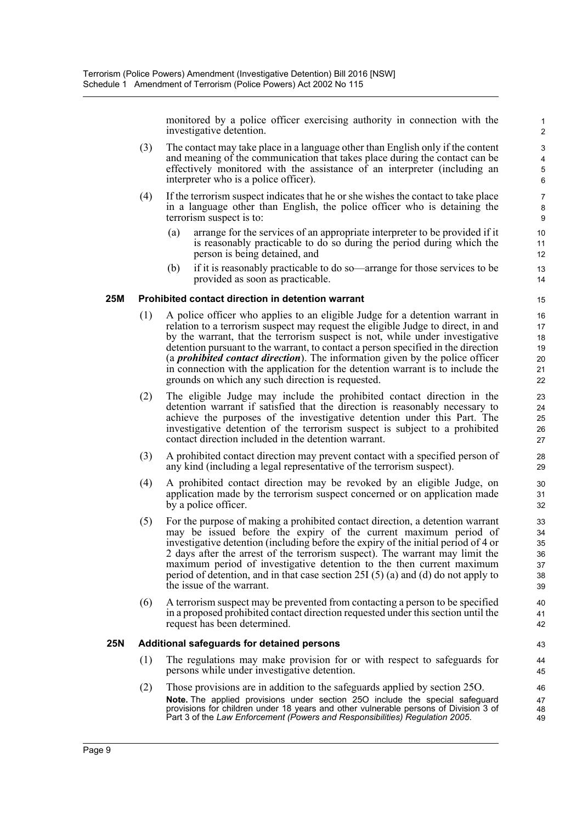monitored by a police officer exercising authority in connection with the investigative detention.

- (3) The contact may take place in a language other than English only if the content and meaning of the communication that takes place during the contact can be effectively monitored with the assistance of an interpreter (including an interpreter who is a police officer).
- (4) If the terrorism suspect indicates that he or she wishes the contact to take place in a language other than English, the police officer who is detaining the terrorism suspect is to:
	- (a) arrange for the services of an appropriate interpreter to be provided if it is reasonably practicable to do so during the period during which the person is being detained, and
	- (b) if it is reasonably practicable to do so—arrange for those services to be provided as soon as practicable.

#### **25M Prohibited contact direction in detention warrant**

- (1) A police officer who applies to an eligible Judge for a detention warrant in relation to a terrorism suspect may request the eligible Judge to direct, in and by the warrant, that the terrorism suspect is not, while under investigative detention pursuant to the warrant, to contact a person specified in the direction (a *prohibited contact direction*). The information given by the police officer in connection with the application for the detention warrant is to include the grounds on which any such direction is requested.
- (2) The eligible Judge may include the prohibited contact direction in the detention warrant if satisfied that the direction is reasonably necessary to achieve the purposes of the investigative detention under this Part. The investigative detention of the terrorism suspect is subject to a prohibited contact direction included in the detention warrant.
- (3) A prohibited contact direction may prevent contact with a specified person of any kind (including a legal representative of the terrorism suspect).
- (4) A prohibited contact direction may be revoked by an eligible Judge, on application made by the terrorism suspect concerned or on application made by a police officer.
- (5) For the purpose of making a prohibited contact direction, a detention warrant may be issued before the expiry of the current maximum period of investigative detention (including before the expiry of the initial period of 4 or 2 days after the arrest of the terrorism suspect). The warrant may limit the maximum period of investigative detention to the then current maximum period of detention, and in that case section 25I (5) (a) and (d) do not apply to the issue of the warrant.
- (6) A terrorism suspect may be prevented from contacting a person to be specified in a proposed prohibited contact direction requested under this section until the request has been determined.

#### **25N Additional safeguards for detained persons**

- (1) The regulations may make provision for or with respect to safeguards for persons while under investigative detention.
- (2) Those provisions are in addition to the safeguards applied by section 25O. **Note.** The applied provisions under section 25O include the special safeguard provisions for children under 18 years and other vulnerable persons of Division 3 of Part 3 of the *Law Enforcement (Powers and Responsibilities) Regulation 2005*.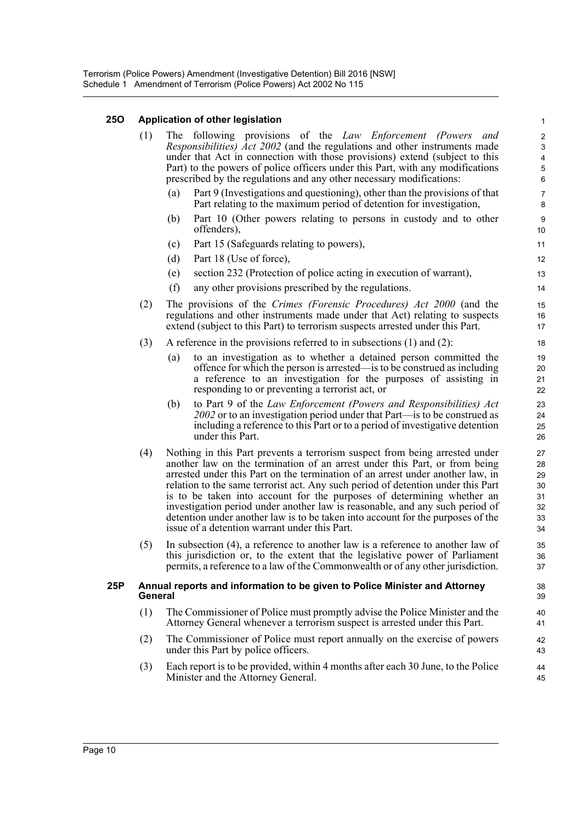#### **25O Application of other legislation**

| 25O | Application of other legislation                                                      |                                                                                                                                                                                                                                                                                                                                                                                                                                                                                                                                                                                                                               |                                                                                |  |
|-----|---------------------------------------------------------------------------------------|-------------------------------------------------------------------------------------------------------------------------------------------------------------------------------------------------------------------------------------------------------------------------------------------------------------------------------------------------------------------------------------------------------------------------------------------------------------------------------------------------------------------------------------------------------------------------------------------------------------------------------|--------------------------------------------------------------------------------|--|
|     | (1)                                                                                   | following provisions of the <i>Law Enforcement (Powers</i><br>The<br>and<br><i>Responsibilities</i> ) <i>Act 2002</i> (and the regulations and other instruments made<br>under that Act in connection with those provisions) extend (subject to this<br>Part) to the powers of police officers under this Part, with any modifications<br>prescribed by the regulations and any other necessary modifications:                                                                                                                                                                                                                | $\boldsymbol{2}$<br>$\mathsf 3$<br>$\overline{\mathbf{4}}$<br>$\mathbf 5$<br>6 |  |
|     |                                                                                       | (a)<br>Part 9 (Investigations and questioning), other than the provisions of that<br>Part relating to the maximum period of detention for investigation,                                                                                                                                                                                                                                                                                                                                                                                                                                                                      | $\overline{7}$<br>8                                                            |  |
|     |                                                                                       | Part 10 (Other powers relating to persons in custody and to other<br>(b)<br>offenders),                                                                                                                                                                                                                                                                                                                                                                                                                                                                                                                                       | $\boldsymbol{9}$<br>10                                                         |  |
|     |                                                                                       | Part 15 (Safeguards relating to powers),<br>(c)                                                                                                                                                                                                                                                                                                                                                                                                                                                                                                                                                                               | 11                                                                             |  |
|     |                                                                                       | Part 18 (Use of force),<br>(d)                                                                                                                                                                                                                                                                                                                                                                                                                                                                                                                                                                                                | 12                                                                             |  |
|     |                                                                                       | section 232 (Protection of police acting in execution of warrant),<br>(e)                                                                                                                                                                                                                                                                                                                                                                                                                                                                                                                                                     | 13                                                                             |  |
|     |                                                                                       | (f)<br>any other provisions prescribed by the regulations.                                                                                                                                                                                                                                                                                                                                                                                                                                                                                                                                                                    | 14                                                                             |  |
|     | (2)                                                                                   | The provisions of the Crimes (Forensic Procedures) Act 2000 (and the<br>regulations and other instruments made under that Act) relating to suspects<br>extend (subject to this Part) to terrorism suspects arrested under this Part.                                                                                                                                                                                                                                                                                                                                                                                          | 15<br>16<br>17                                                                 |  |
|     | (3)                                                                                   | A reference in the provisions referred to in subsections $(1)$ and $(2)$ :                                                                                                                                                                                                                                                                                                                                                                                                                                                                                                                                                    | 18                                                                             |  |
|     |                                                                                       | to an investigation as to whether a detained person committed the<br>(a)<br>offence for which the person is arrested—is to be construed as including<br>a reference to an investigation for the purposes of assisting in<br>responding to or preventing a terrorist act, or                                                                                                                                                                                                                                                                                                                                                   | 19<br>20<br>21<br>22                                                           |  |
|     |                                                                                       | (b)<br>to Part 9 of the Law Enforcement (Powers and Responsibilities) Act<br>2002 or to an investigation period under that Part—is to be construed as<br>including a reference to this Part or to a period of investigative detention<br>under this Part.                                                                                                                                                                                                                                                                                                                                                                     | 23<br>24<br>25<br>26                                                           |  |
|     | (4)                                                                                   | Nothing in this Part prevents a terrorism suspect from being arrested under<br>another law on the termination of an arrest under this Part, or from being<br>arrested under this Part on the termination of an arrest under another law, in<br>relation to the same terrorist act. Any such period of detention under this Part<br>is to be taken into account for the purposes of determining whether an<br>investigation period under another law is reasonable, and any such period of<br>detention under another law is to be taken into account for the purposes of the<br>issue of a detention warrant under this Part. | 27<br>28<br>29<br>30<br>31<br>32<br>33<br>34                                   |  |
|     | (5)                                                                                   | In subsection $(4)$ , a reference to another law is a reference to another law of<br>this jurisdiction or, to the extent that the legislative power of Parliament<br>permits, a reference to a law of the Commonwealth or of any other jurisdiction.                                                                                                                                                                                                                                                                                                                                                                          | 35<br>36<br>37                                                                 |  |
| 25P | Annual reports and information to be given to Police Minister and Attorney<br>General |                                                                                                                                                                                                                                                                                                                                                                                                                                                                                                                                                                                                                               |                                                                                |  |
|     | (1)                                                                                   | The Commissioner of Police must promptly advise the Police Minister and the<br>Attorney General whenever a terrorism suspect is arrested under this Part.                                                                                                                                                                                                                                                                                                                                                                                                                                                                     | 40<br>41                                                                       |  |
|     | (2)                                                                                   | The Commissioner of Police must report annually on the exercise of powers<br>under this Part by police officers.                                                                                                                                                                                                                                                                                                                                                                                                                                                                                                              | 42<br>43                                                                       |  |
|     | (3)                                                                                   | Each report is to be provided, within 4 months after each 30 June, to the Police<br>Minister and the Attorney General.                                                                                                                                                                                                                                                                                                                                                                                                                                                                                                        | 44<br>45                                                                       |  |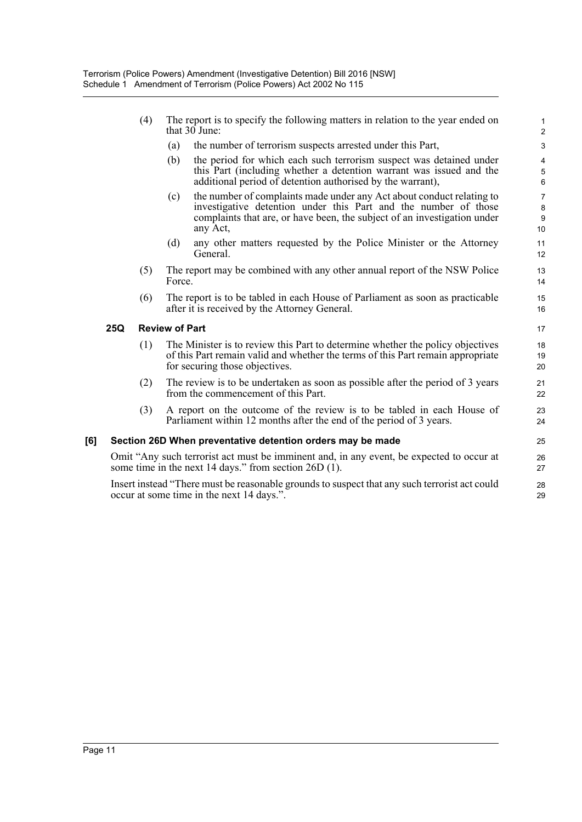- (4) The report is to specify the following matters in relation to the year ended on that 30 June:
	- (a) the number of terrorism suspects arrested under this Part,
	- (b) the period for which each such terrorism suspect was detained under this Part (including whether a detention warrant was issued and the additional period of detention authorised by the warrant),

- (c) the number of complaints made under any Act about conduct relating to investigative detention under this Part and the number of those complaints that are, or have been, the subject of an investigation under any Act,
- (d) any other matters requested by the Police Minister or the Attorney General.
- (5) The report may be combined with any other annual report of the NSW Police Force.
- (6) The report is to be tabled in each House of Parliament as soon as practicable after it is received by the Attorney General.

#### **25Q Review of Part**

- (1) The Minister is to review this Part to determine whether the policy objectives of this Part remain valid and whether the terms of this Part remain appropriate for securing those objectives.
- (2) The review is to be undertaken as soon as possible after the period of 3 years from the commencement of this Part.
- (3) A report on the outcome of the review is to be tabled in each House of Parliament within 12 months after the end of the period of 3 years.

#### **[6] Section 26D When preventative detention orders may be made**

Omit "Any such terrorist act must be imminent and, in any event, be expected to occur at some time in the next 14 days." from section 26D (1).

Insert instead "There must be reasonable grounds to suspect that any such terrorist act could occur at some time in the next 14 days.".